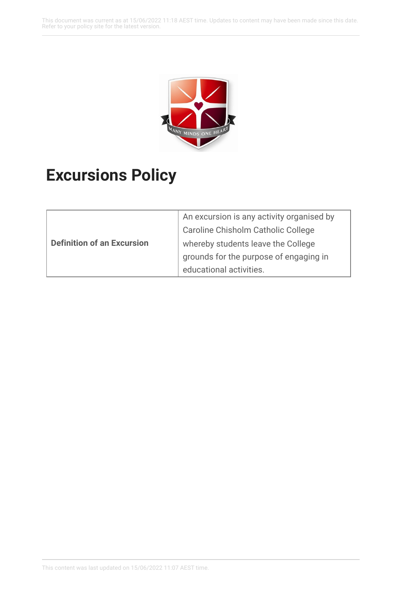This document was current as at 15/06/2022 11:18 AEST time. Updates to content may have been made since this date. Refer to your policy site for the latest version.



# **Excursions Policy**

|                                   | An excursion is any activity organised by<br>Caroline Chisholm Catholic College |
|-----------------------------------|---------------------------------------------------------------------------------|
| <b>Definition of an Excursion</b> | whereby students leave the College                                              |
|                                   | grounds for the purpose of engaging in                                          |
|                                   | educational activities.                                                         |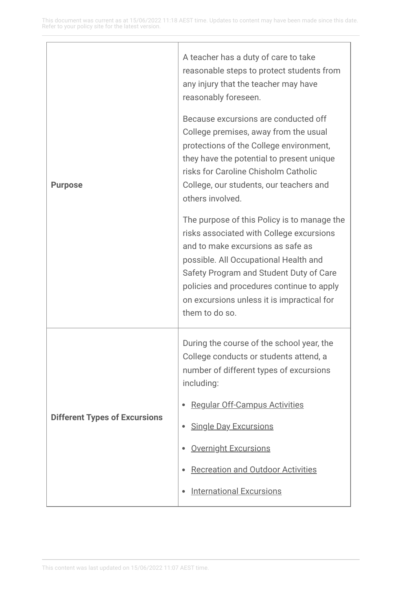| <b>Purpose</b>                       | A teacher has a duty of care to take<br>reasonable steps to protect students from<br>any injury that the teacher may have<br>reasonably foreseen.                                                                                                                                                                             |
|--------------------------------------|-------------------------------------------------------------------------------------------------------------------------------------------------------------------------------------------------------------------------------------------------------------------------------------------------------------------------------|
|                                      | Because excursions are conducted off<br>College premises, away from the usual<br>protections of the College environment,<br>they have the potential to present unique<br>risks for Caroline Chisholm Catholic<br>College, our students, our teachers and<br>others involved.                                                  |
|                                      | The purpose of this Policy is to manage the<br>risks associated with College excursions<br>and to make excursions as safe as<br>possible. All Occupational Health and<br>Safety Program and Student Duty of Care<br>policies and procedures continue to apply<br>on excursions unless it is impractical for<br>them to do so. |
| <b>Different Types of Excursions</b> | During the course of the school year, the<br>College conducts or students attend, a<br>number of different types of excursions<br>including:                                                                                                                                                                                  |
|                                      | <b>Regular Off-Campus Activities</b>                                                                                                                                                                                                                                                                                          |
|                                      | <b>Single Day Excursions</b><br>٠                                                                                                                                                                                                                                                                                             |
|                                      | <b>Overnight Excursions</b>                                                                                                                                                                                                                                                                                                   |
|                                      | <b>Recreation and Outdoor Activities</b>                                                                                                                                                                                                                                                                                      |
|                                      | <b>International Excursions</b>                                                                                                                                                                                                                                                                                               |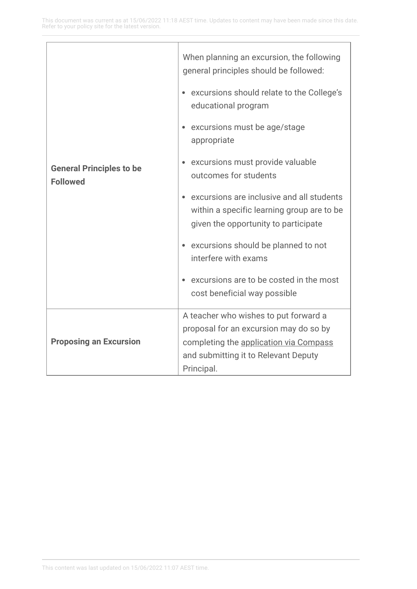| <b>General Principles to be</b><br><b>Followed</b> | When planning an excursion, the following<br>general principles should be followed:                                             |
|----------------------------------------------------|---------------------------------------------------------------------------------------------------------------------------------|
|                                                    | excursions should relate to the College's<br>educational program                                                                |
|                                                    | excursions must be age/stage<br>appropriate                                                                                     |
|                                                    | • excursions must provide valuable<br>outcomes for students                                                                     |
|                                                    | excursions are inclusive and all students<br>within a specific learning group are to be<br>given the opportunity to participate |
|                                                    | excursions should be planned to not<br>interfere with exams                                                                     |
|                                                    | excursions are to be costed in the most<br>cost beneficial way possible                                                         |
| <b>Proposing an Excursion</b>                      | A teacher who wishes to put forward a                                                                                           |
|                                                    | proposal for an excursion may do so by<br>completing the application via Compass                                                |
|                                                    | and submitting it to Relevant Deputy<br>Principal.                                                                              |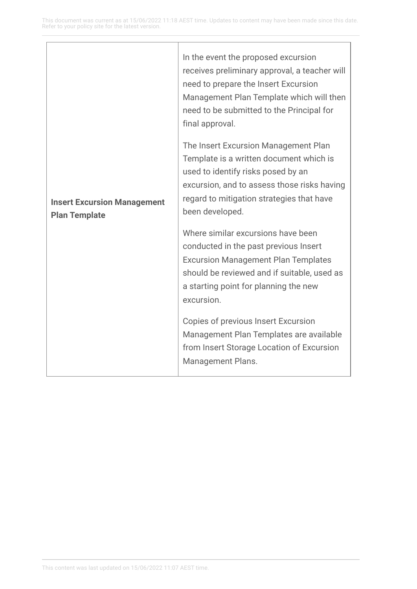| <b>Insert Excursion Management</b><br><b>Plan Template</b> | In the event the proposed excursion<br>receives preliminary approval, a teacher will<br>need to prepare the Insert Excursion<br>Management Plan Template which will then<br>need to be submitted to the Principal for<br>final approval.                                                                                 |
|------------------------------------------------------------|--------------------------------------------------------------------------------------------------------------------------------------------------------------------------------------------------------------------------------------------------------------------------------------------------------------------------|
|                                                            | The Insert Excursion Management Plan<br>Template is a written document which is<br>used to identify risks posed by an<br>excursion, and to assess those risks having<br>regard to mitigation strategies that have<br>been developed.                                                                                     |
|                                                            | Where similar excursions have been<br>conducted in the past previous Insert<br><b>Excursion Management Plan Templates</b><br>should be reviewed and if suitable, used as<br>a starting point for planning the new<br>excursion.<br><b>Copies of previous Insert Excursion</b><br>Management Plan Templates are available |
|                                                            | from Insert Storage Location of Excursion<br><b>Management Plans.</b>                                                                                                                                                                                                                                                    |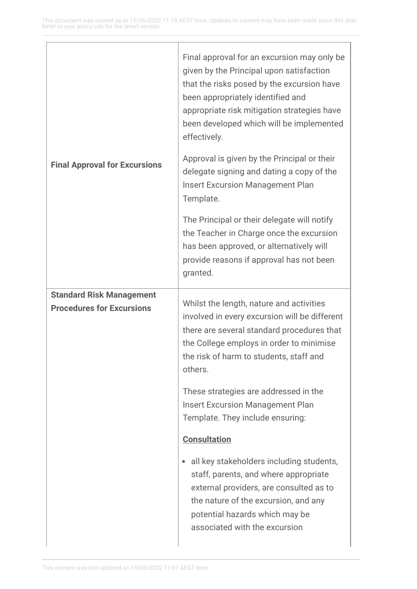|                                                                     | Final approval for an excursion may only be<br>given by the Principal upon satisfaction<br>that the risks posed by the excursion have<br>been appropriately identified and<br>appropriate risk mitigation strategies have<br>been developed which will be implemented<br>effectively. |
|---------------------------------------------------------------------|---------------------------------------------------------------------------------------------------------------------------------------------------------------------------------------------------------------------------------------------------------------------------------------|
| <b>Final Approval for Excursions</b>                                | Approval is given by the Principal or their<br>delegate signing and dating a copy of the<br><b>Insert Excursion Management Plan</b><br>Template.                                                                                                                                      |
|                                                                     | The Principal or their delegate will notify<br>the Teacher in Charge once the excursion<br>has been approved, or alternatively will<br>provide reasons if approval has not been<br>granted.                                                                                           |
| <b>Standard Risk Management</b><br><b>Procedures for Excursions</b> | Whilst the length, nature and activities                                                                                                                                                                                                                                              |
|                                                                     | involved in every excursion will be different<br>there are several standard procedures that<br>the College employs in order to minimise<br>the risk of harm to students, staff and<br>others.                                                                                         |
|                                                                     | These strategies are addressed in the<br><b>Insert Excursion Management Plan</b><br>Template. They include ensuring:                                                                                                                                                                  |
|                                                                     | <b>Consultation</b>                                                                                                                                                                                                                                                                   |
|                                                                     | all key stakeholders including students,<br>$\bullet$<br>staff, parents, and where appropriate<br>external providers, are consulted as to<br>the nature of the excursion, and any<br>potential hazards which may be<br>associated with the excursion                                  |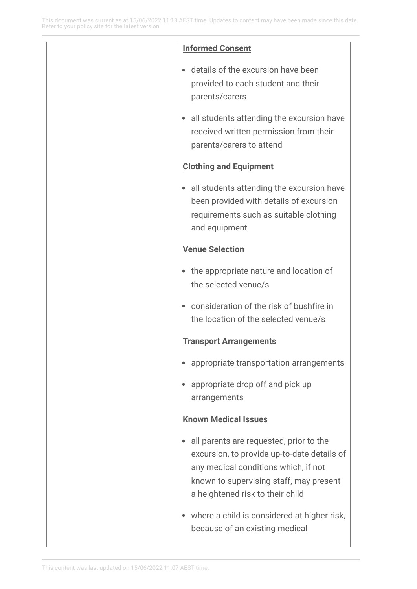# **Informed Consent**

- details of the excursion have been provided to each student and their parents/carers
- all students attending the excursion have received written permission from their parents/carers to attend

### **Clothing and Equipment**

all students attending the excursion have been provided with details of excursion requirements such as suitable clothing and equipment

### **Venue Selection**

- the appropriate nature and location of the selected venue/s
- consideration of the risk of bushfire in the location of the selected venue/s

### **Transport Arrangements**

- appropriate transportation arrangements
- appropriate drop off and pick up arrangements

#### **Known Medical Issues**

- all parents are requested, prior to the excursion, to provide up-to-date details of any medical conditions which, if not known to supervising staff, may present a heightened risk to their child
- where a child is considered at higher risk, because of an existing medical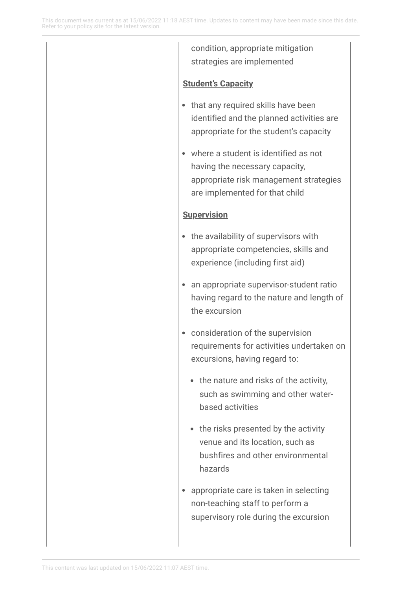condition, appropriate mitigation strategies are implemented

# **Student's Capacity**

- that any required skills have been identified and the planned activities are appropriate for the student's capacity
- where a student is identified as not having the necessary capacity, appropriate risk management strategies are implemented for that child

### **Supervision**

- the availability of supervisors with appropriate competencies, skills and experience (including first aid)
- an appropriate supervisor-student ratio having regard to the nature and length of the excursion
- consideration of the supervision requirements for activities undertaken on excursions, having regard to:
	- the nature and risks of the activity, such as swimming and other waterbased activities
	- the risks presented by the activity venue and its location, such as bushfires and other environmental hazards
- appropriate care is taken in selecting non-teaching staff to perform a supervisory role during the excursion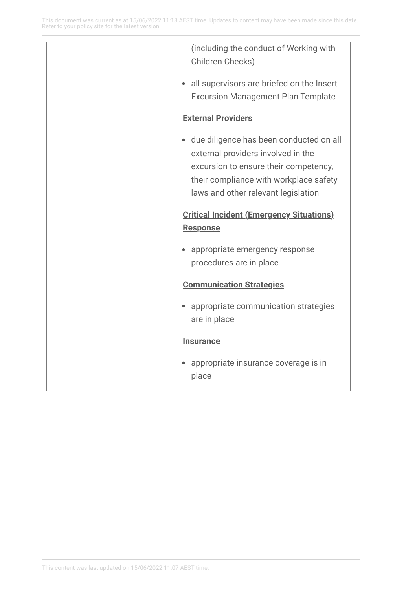| (including the conduct of Working with<br>Children Checks)                                                                                                                                                |
|-----------------------------------------------------------------------------------------------------------------------------------------------------------------------------------------------------------|
| all supervisors are briefed on the Insert<br><b>Excursion Management Plan Template</b>                                                                                                                    |
| <b>External Providers</b>                                                                                                                                                                                 |
| · due diligence has been conducted on all<br>external providers involved in the<br>excursion to ensure their competency,<br>their compliance with workplace safety<br>laws and other relevant legislation |
| <b>Critical Incident (Emergency Situations)</b>                                                                                                                                                           |
| <b>Response</b>                                                                                                                                                                                           |
| appropriate emergency response<br>procedures are in place                                                                                                                                                 |
| <b>Communication Strategies</b>                                                                                                                                                                           |
| appropriate communication strategies<br>are in place                                                                                                                                                      |
| <b>Insurance</b>                                                                                                                                                                                          |
| appropriate insurance coverage is in<br>place                                                                                                                                                             |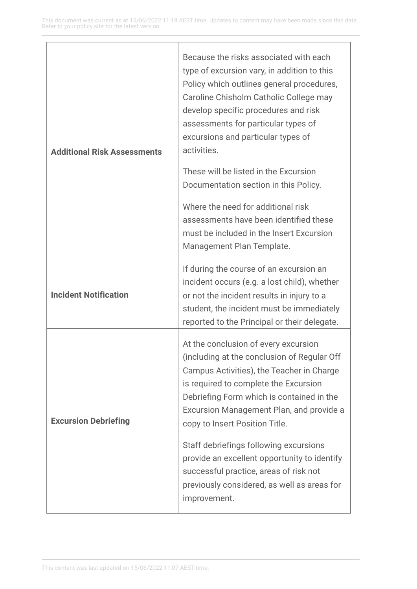| <b>Additional Risk Assessments</b> | Because the risks associated with each<br>type of excursion vary, in addition to this<br>Policy which outlines general procedures,<br>Caroline Chisholm Catholic College may<br>develop specific procedures and risk<br>assessments for particular types of<br>excursions and particular types of<br>activities. |
|------------------------------------|------------------------------------------------------------------------------------------------------------------------------------------------------------------------------------------------------------------------------------------------------------------------------------------------------------------|
|                                    | These will be listed in the Excursion<br>Documentation section in this Policy.                                                                                                                                                                                                                                   |
|                                    | Where the need for additional risk<br>assessments have been identified these<br>must be included in the Insert Excursion<br>Management Plan Template.                                                                                                                                                            |
| <b>Incident Notification</b>       | If during the course of an excursion an<br>incident occurs (e.g. a lost child), whether<br>or not the incident results in injury to a<br>student, the incident must be immediately<br>reported to the Principal or their delegate.                                                                               |
| <b>Excursion Debriefing</b>        | At the conclusion of every excursion<br>(including at the conclusion of Regular Off<br>Campus Activities), the Teacher in Charge<br>is required to complete the Excursion<br>Debriefing Form which is contained in the<br>Excursion Management Plan, and provide a<br>copy to Insert Position Title.             |
|                                    | Staff debriefings following excursions<br>provide an excellent opportunity to identify<br>successful practice, areas of risk not<br>previously considered, as well as areas for<br>improvement.                                                                                                                  |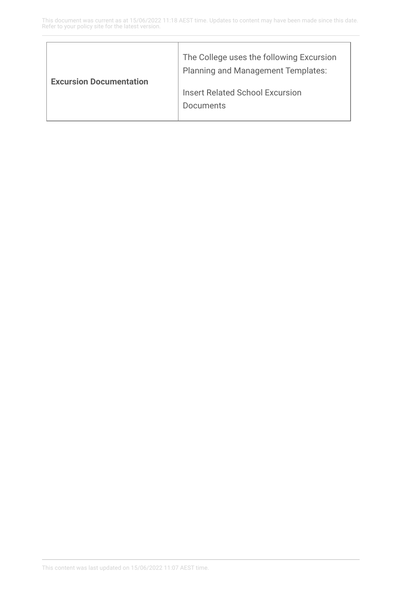| <b>Excursion Documentation</b> | The College uses the following Excursion<br><b>Planning and Management Templates:</b> |
|--------------------------------|---------------------------------------------------------------------------------------|
|                                | <b>Insert Related School Excursion</b><br>Documents                                   |